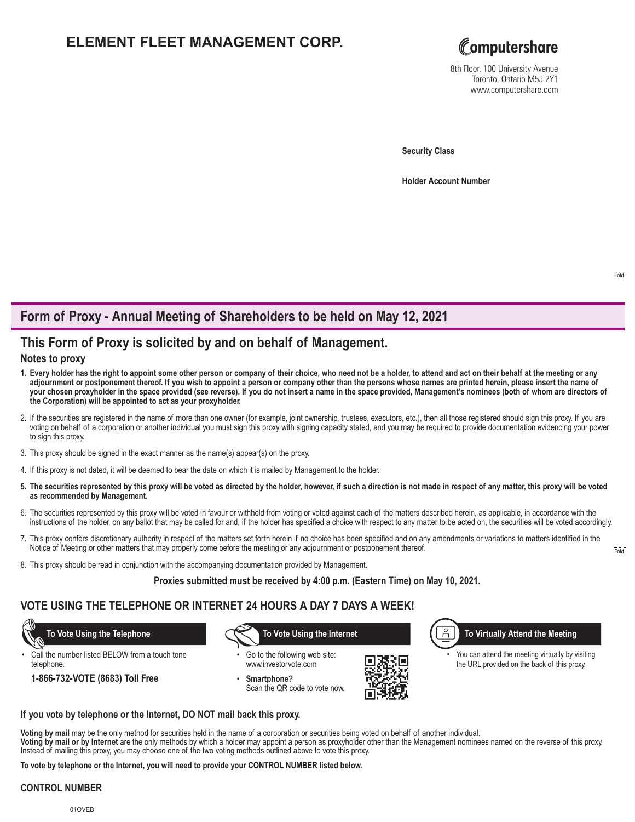# **ELEMENT FLEET MANAGEMENT CORP.**



8th Floor, 100 University Avenue Toronto, Ontario M5J 2Y1 www.computershare.com

**Security Class**

**Holder Account Number** 

Fold

## **Form of Proxy - Annual Meeting of Shareholders to be held on May 12, 2021**

## **This Form of Proxy is solicited by and on behalf of Management.**

### **Notes to proxy**

- **1. Every holder has the right to appoint some other person or company of their choice, who need not be a holder, to attend and act on their behalf at the meeting or any adjournment or postponement thereof. If you wish to appoint a person or company other than the persons whose names are printed herein, please insert the name of your chosen proxyholder in the space provided (see reverse). If you do not insert a name in the space provided, Management's nominees (both of whom are directors of the Corporation) will be appointed to act as your proxyholder.**
- 2. If the securities are registered in the name of more than one owner (for example, joint ownership, trustees, executors, etc.), then all those registered should sign this proxy. If you are voting on behalf of a corporation or another individual you must sign this proxy with signing capacity stated, and you may be required to provide documentation evidencing your power to sign this proxy.
- 3. This proxy should be signed in the exact manner as the name(s) appear(s) on the proxy.
- 4. If this proxy is not dated, it will be deemed to bear the date on which it is mailed by Management to the holder.
- **5. The securities represented by this proxy will be voted as directed by the holder, however, if such a direction is not made in respect of any matter, this proxy will be voted as recommended by Management.**
- 6. The securities represented by this proxy will be voted in favour or withheld from voting or voted against each of the matters described herein, as applicable, in accordance with the instructions of the holder, on any ballot that may be called for and, if the holder has specified a choice with respect to any matter to be acted on, the securities will be voted accordingly.
- 7. This proxy confers discretionary authority in respect of the matters set forth herein if no choice has been specified and on any amendments or variations to matters identified in the Notice of Meeting or other matters that may properly come before the meeting or any adjournment or postponement thereof.
- 8. This proxy should be read in conjunction with the accompanying documentation provided by Management.

**Proxies submitted must be received by 4:00 p.m. (Eastern Time) on May 10, 2021.**

### **VOTE USING THE TELEPHONE OR INTERNET 24 HOURS A DAY 7 DAYS A WEEK!**

Call the number listed BELOW from a touch tone telephone.

**1-866-732-VOTE (8683) Toll Free**

 **To Vote Using the Telephone To Vote Using the Internet**

Go to the following web site: www.investorvote.com

• **Smartphone?** Scan the QR code to vote now.



**To Virtually Attend the Meeting**

You can attend the meeting virtually by visiting the URL provided on the back of this proxy.

**If you vote by telephone or the Internet, DO NOT mail back this proxy.**

**Voting by mail** may be the only method for securities held in the name of a corporation or securities being voted on behalf of another individual.

**Voting by mail or by Internet** are the only methods by which a holder may appoint a person as proxyholder other than the Management nominees named on the reverse of this proxy. Instead of mailing this proxy, you may choose one of the two voting methods outlined above to vote this proxy.

**To vote by telephone or the Internet, you will need to provide your CONTROL NUMBER listed below.**

### **CONTROL NUMBER**